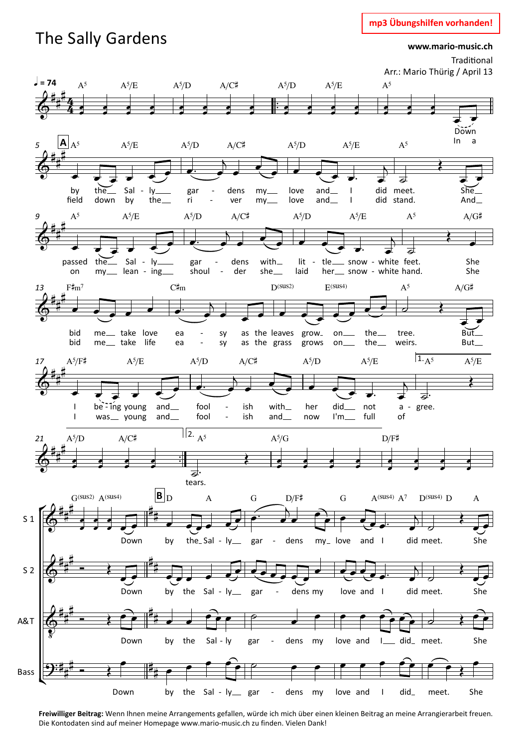## mp3 Übungshilfen vorhanden!

# The Sally Gardens

 $S<sub>1</sub>$ 

 $S<sub>2</sub>$ 

A&T

**Bass** 

www.mario-music.ch



Freiwilliger Beitrag: Wenn Ihnen meine Arrangements gefallen, würde ich mich über einen kleinen Beitrag an meine Arrangierarbeit freuen. Die Kontodaten sind auf meiner Homepage www.mario-music.ch zu finden. Vielen Dank!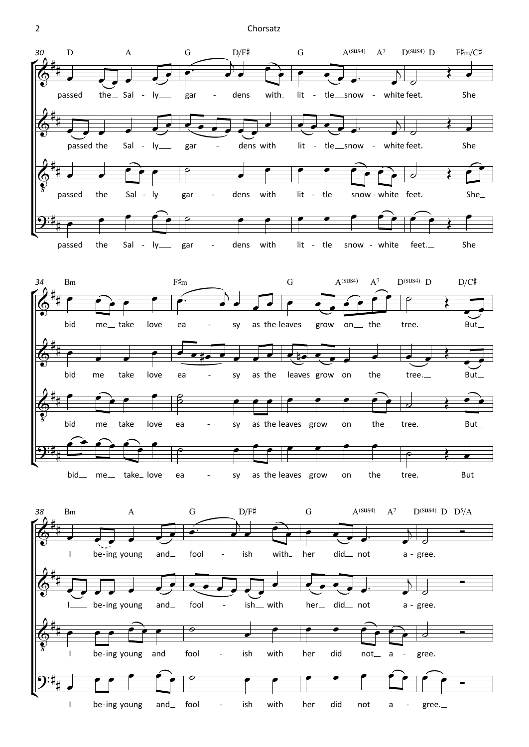#### Chorsatz

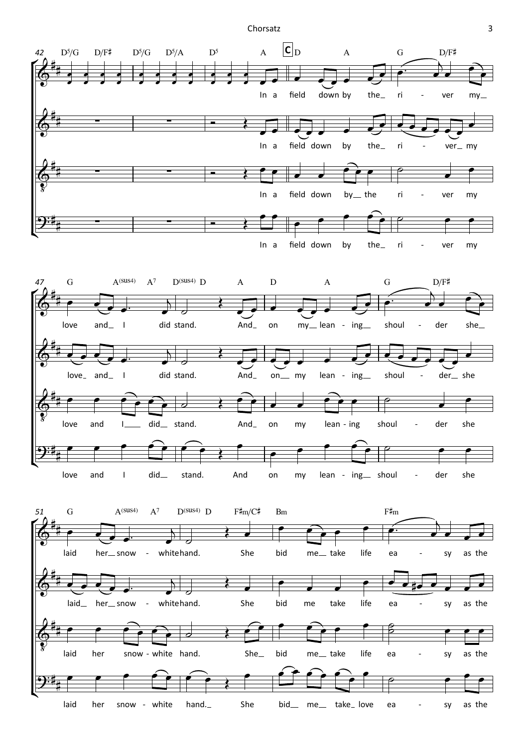Chorsatz

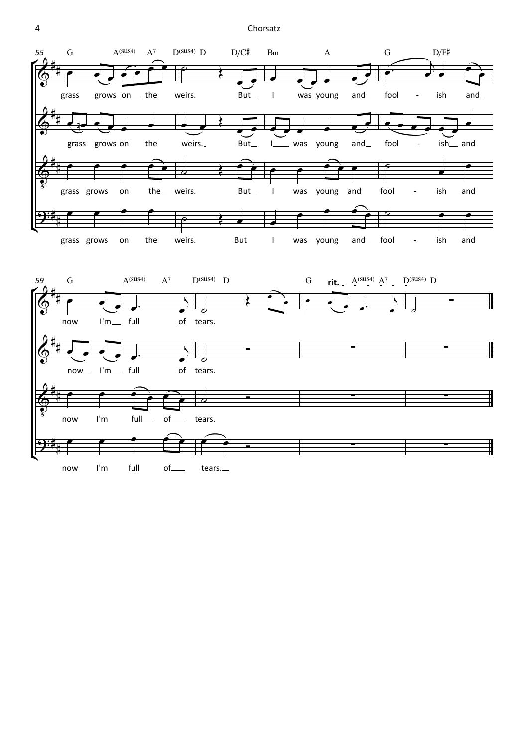Chorsatz

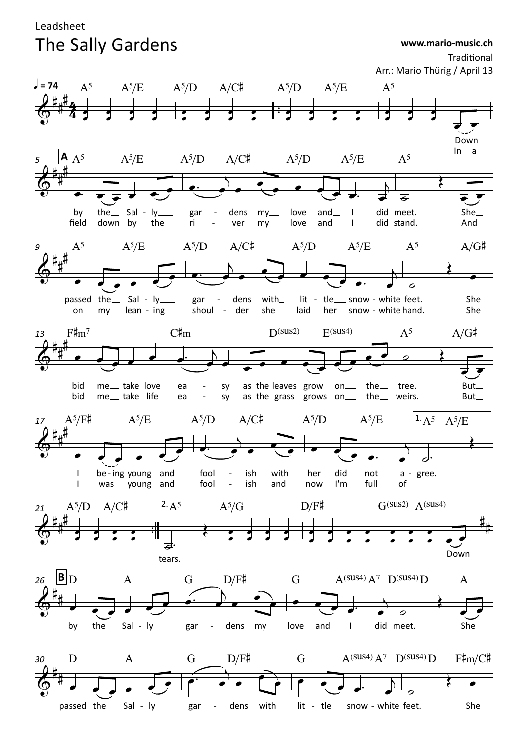## Leadsheet The Sally Gardens

Traditional Arr.: Mario Thürig / April 13